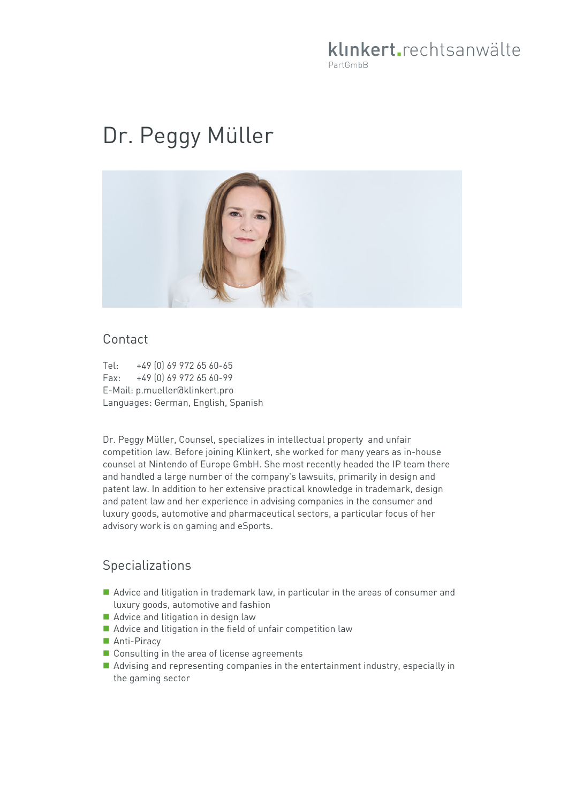## klinkert.rechtsanwälte PartGmbB

# Dr. Peggy Müller



#### Contact

Tel: +49 (0) 69 972 65 60-65 Fax: +49 (0) 69 972 65 60-99 E-Mail: p.mueller@klinkert.pro Languages: German, English, Spanish

Dr. Peggy Müller, Counsel, specializes in intellectual property and unfair competition law. Before joining Klinkert, she worked for many years as in-house counsel at Nintendo of Europe GmbH. She most recently headed the IP team there and handled a large number of the company's lawsuits, primarily in design and patent law. In addition to her extensive practical knowledge in trademark, design and patent law and her experience in advising companies in the consumer and luxury goods, automotive and pharmaceutical sectors, a particular focus of her advisory work is on gaming and eSports.

## **Specializations**

- Advice and litigation in trademark law, in particular in the areas of consumer and luxury goods, automotive and fashion
- Advice and litigation in design law
- Advice and litigation in the field of unfair competition law
- Anti-Piracy
- Consulting in the area of license agreements
- Advising and representing companies in the entertainment industry, especially in the gaming sector